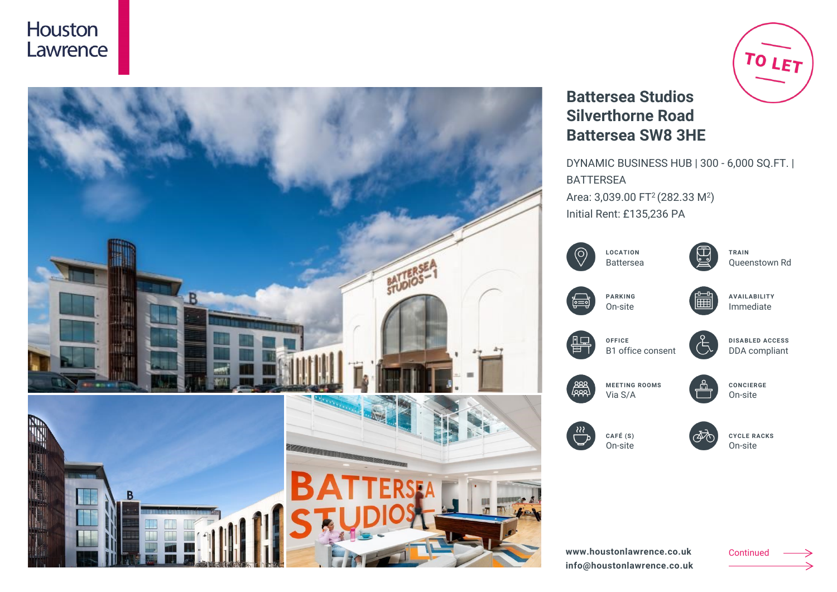## Houston Lawrence



# TO LET

## **Battersea Studios Silverthorne Road Battersea SW8 3HE**

DYNAMIC BUSINESS HUB | 300 - 6,000 SQ.FT. | BATTERSEA Area: 3,039.00 FT<sup>2</sup> (282.33 M<sup>2</sup>) Initial Rent: £135,236 PA

|      | <b>LOCATION</b><br><b>Battersea</b> | TRAIN<br>Queenstown Rd                  |
|------|-------------------------------------|-----------------------------------------|
| ၉=   | <b>PARKING</b><br>On-site           | <b>AVAILABILITY</b><br>Immediate        |
|      | OFFICE<br>B1 office consent         | <b>DISABLED ACCESS</b><br>DDA compliant |
| عمعا | <b>MEETING ROOMS</b><br>Via S/A     | <b>CONCIERGE</b><br>On-site             |
| 88   | CAFÉ (S)<br>On-site                 | <b>CYCLE RACKS</b><br>On-site           |
|      |                                     |                                         |